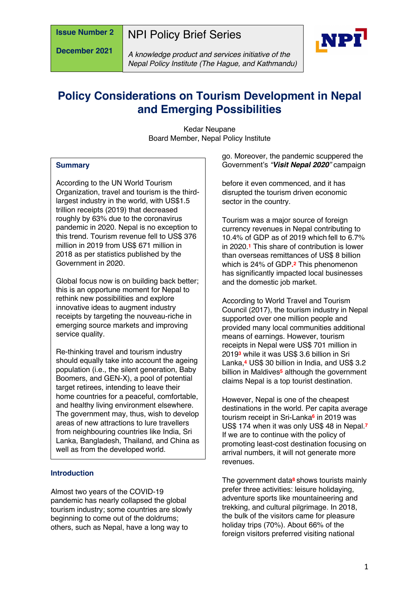**December 2021**

NPI Policy Brief Series



*A knowledge product and services initiative of the Nepal Policy Institute (The Hague, and Kathmandu)*

# **Policy Considerations on Tourism Development in Nepal and Emerging Possibilities**

Kedar Neupane Board Member, Nepal Policy Institute

#### **Summary**

According to the UN World Tourism Organization, travel and tourism is the thirdlargest industry in the world, with US\$1.5 trillion receipts (2019) that decreased roughly by 63% due to the coronavirus pandemic in 2020. Nepal is no exception to this trend. Tourism revenue fell to US\$ 376 million in 2019 from US\$ 671 million in 2018 as per statistics published by the Government in 2020.

Global focus now is on building back better; this is an opportune moment for Nepal to rethink new possibilities and explore innovative ideas to augment industry receipts by targeting the nouveau-riche in emerging source markets and improving service quality.

Re-thinking travel and tourism industry should equally take into account the ageing population (i.e., the silent generation, Baby Boomers, and GEN-X), a pool of potential target retirees, intending to leave their home countries for a peaceful, comfortable, and healthy living environment elsewhere. The government may, thus, wish to develop areas of new attractions to lure travellers from neighbouring countries like India, Sri Lanka, Bangladesh, Thailand, and China as well as from the developed world.

#### **Introduction**

Almost two years of the COVID-19 pandemic has nearly collapsed the global tourism industry; some countries are slowly beginning to come out of the doldrums; others, such as Nepal, have a long way to

go. Moreover, the pandemic scuppered the Government's *"Visit Nepal 2020"* campaign

before it even commenced, and it has disrupted the tourism driven economic sector in the country.

Tourism was a major source of foreign currency revenues in Nepal contributing to 10.4% of GDP as of 2019 which fell to 6.7% in 2020.**<sup>1</sup>** This share of contribution is lower than overseas remittances of US\$ 8 billion which is 24% of GDP**.2** This phenomenon has significantly impacted local businesses and the domestic job market.

According to World Travel and Tourism Council (2017), the tourism industry in Nepal supported over one million people and provided many local communities additional means of earnings. However, tourism receipts in Nepal were US\$ 701 million in 2019**<sup>3</sup>** while it was US\$ 3.6 billion in Sri Lanka,**<sup>4</sup>** US\$ 30 billion in India, and US\$ 3.2 billion in Maldives**<sup>5</sup>** although the government claims Nepal is a top tourist destination.

However, Nepal is one of the cheapest destinations in the world. Per capita average tourism receipt in Sri-Lanka**<sup>6</sup>** in 2019 was US\$ 174 when it was only US\$ 48 in Nepal.**<sup>7</sup>** If we are to continue with the policy of promoting least-cost destination focusing on arrival numbers, it will not generate more revenues.

The government data**<sup>8</sup>** shows tourists mainly prefer three activities: leisure holidaying, adventure sports like mountaineering and trekking, and cultural pilgrimage. In 2018, the bulk of the visitors came for pleasure holiday trips (70%). About 66% of the foreign visitors preferred visiting national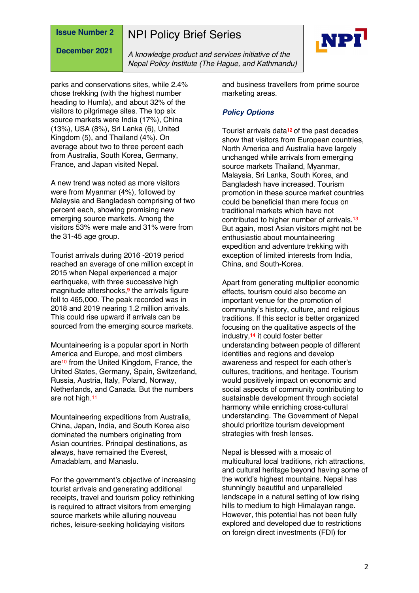# NPI Policy Brief Series

**December 2021**



*A knowledge product and services initiative of the Nepal Policy Institute (The Hague, and Kathmandu)*

parks and conservations sites, while 2.4% chose trekking (with the highest number heading to Humla), and about 32% of the visitors to pilgrimage sites. The top six source markets were India (17%), China (13%), USA (8%), Sri Lanka (6), United Kingdom (5), and Thailand (4%). On average about two to three percent each from Australia, South Korea, Germany, France, and Japan visited Nepal.

A new trend was noted as more visitors were from Myanmar (4%), followed by Malaysia and Bangladesh comprising of two percent each, showing promising new emerging source markets. Among the visitors 53% were male and 31% were from the 31-45 age group.

Tourist arrivals during 2016 -2019 period reached an average of one million except in 2015 when Nepal experienced a major earthquake, with three successive high magnitude aftershocks,**<sup>9</sup>** the arrivals figure fell to 465,000. The peak recorded was in 2018 and 2019 nearing 1.2 million arrivals. This could rise upward if arrivals can be sourced from the emerging source markets.

Mountaineering is a popular sport in North America and Europe, and most climbers are<sup>10</sup> from the United Kingdom, France, the United States, Germany, Spain, Switzerland, Russia, Austria, Italy, Poland, Norway, Netherlands, and Canada. But the numbers are not high.11

Mountaineering expeditions from Australia, China, Japan, India, and South Korea also dominated the numbers originating from Asian countries. Principal destinations, as always, have remained the Everest, Amadablam, and Manaslu.

For the government's objective of increasing tourist arrivals and generating additional receipts, travel and tourism policy rethinking is required to attract visitors from emerging source markets while alluring nouveau riches, leisure-seeking holidaying visitors

and business travellers from prime source marketing areas.

#### *Policy Options*

Tourist arrivals data**<sup>12</sup>** of the past decades show that visitors from European countries, North America and Australia have largely unchanged while arrivals from emerging source markets Thailand, Myanmar, Malaysia, Sri Lanka, South Korea, and Bangladesh have increased. Tourism promotion in these source market countries could be beneficial than mere focus on traditional markets which have not contributed to higher number of arrivals.<sup>13</sup> But again, most Asian visitors might not be enthusiastic about mountaineering expedition and adventure trekking with exception of limited interests from India, China, and South-Korea.

Apart from generating multiplier economic effects, tourism could also become an important venue for the promotion of community's history, culture, and religious traditions. If this sector is better organized focusing on the qualitative aspects of the industry,**<sup>14</sup>** it could foster better understanding between people of different identities and regions and develop awareness and respect for each other's cultures, traditions, and heritage. Tourism would positively impact on economic and social aspects of community contributing to sustainable development through societal harmony while enriching cross-cultural understanding. The Government of Nepal should prioritize tourism development strategies with fresh lenses.

Nepal is blessed with a mosaic of multicultural local traditions, rich attractions, and cultural heritage beyond having some of the world's highest mountains. Nepal has stunningly beautiful and unparalleled landscape in a natural setting of low rising hills to medium to high Himalayan range. However, this potential has not been fully explored and developed due to restrictions on foreign direct investments (FDI) for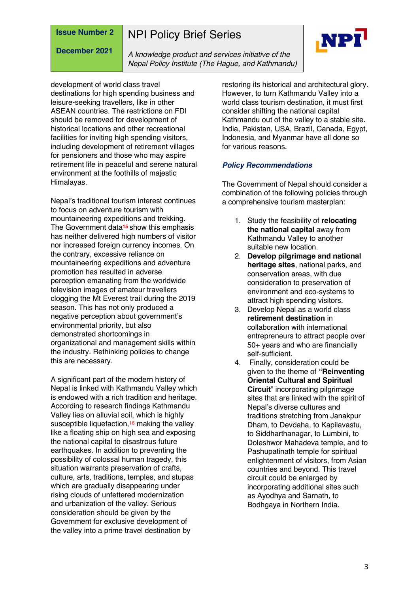# NPI Policy Brief Series

**December 2021**

*A knowledge product and services initiative of the Nepal Policy Institute (The Hague, and Kathmandu)*

development of world class travel destinations for high spending business and leisure-seeking travellers, like in other ASEAN countries. The restrictions on FDI should be removed for development of historical locations and other recreational facilities for inviting high spending visitors, including development of retirement villages for pensioners and those who may aspire retirement life in peaceful and serene natural environment at the foothills of majestic Himalayas.

Nepal's traditional tourism interest continues to focus on adventure tourism with mountaineering expeditions and trekking. The Government data**<sup>15</sup>** show this emphasis has neither delivered high numbers of visitor nor increased foreign currency incomes. On the contrary, excessive reliance on mountaineering expeditions and adventure promotion has resulted in adverse perception emanating from the worldwide television images of amateur travellers clogging the Mt Everest trail during the 2019 season. This has not only produced a negative perception about government's environmental priority, but also demonstrated shortcomings in organizational and management skills within the industry. Rethinking policies to change this are necessary.

A significant part of the modern history of Nepal is linked with Kathmandu Valley which is endowed with a rich tradition and heritage. According to research findings Kathmandu Valley lies on alluvial soil, which is highly susceptible liquefaction,<sup>16</sup> making the valley like a floating ship on high sea and exposing the national capital to disastrous future earthquakes. In addition to preventing the possibility of colossal human tragedy, this situation warrants preservation of crafts, culture, arts, traditions, temples, and stupas which are gradually disappearing under rising clouds of unfettered modernization and urbanization of the valley. Serious consideration should be given by the Government for exclusive development of the valley into a prime travel destination by

restoring its historical and architectural glory. However, to turn Kathmandu Valley into a world class tourism destination, it must first consider shifting the national capital Kathmandu out of the valley to a stable site. India, Pakistan, USA, Brazil, Canada, Egypt, Indonesia, and Myanmar have all done so for various reasons.

#### *Policy Recommendations*

The Government of Nepal should consider a combination of the following policies through a comprehensive tourism masterplan:

- 1. Study the feasibility of **relocating the national capital** away from Kathmandu Valley to another suitable new location.
- 2. **Develop pilgrimage and national heritage sites**, national parks, and conservation areas, with due consideration to preservation of environment and eco-systems to attract high spending visitors.
- 3. Develop Nepal as a world class **retirement destination** in collaboration with international entrepreneurs to attract people over 50+ years and who are financially self-sufficient.
- 4. Finally, consideration could be given to the theme of **"Reinventing Oriental Cultural and Spiritual Circuit**" incorporating pilgrimage sites that are linked with the spirit of Nepal's diverse cultures and traditions stretching from Janakpur Dham, to Devdaha, to Kapilavastu, to Siddharthanagar, to Lumbini, to Doleshwor Mahadeva temple, and to Pashupatinath temple for spiritual enlightenment of visitors, from Asian countries and beyond. This travel circuit could be enlarged by incorporating additional sites such as Ayodhya and Sarnath, to Bodhgaya in Northern India.

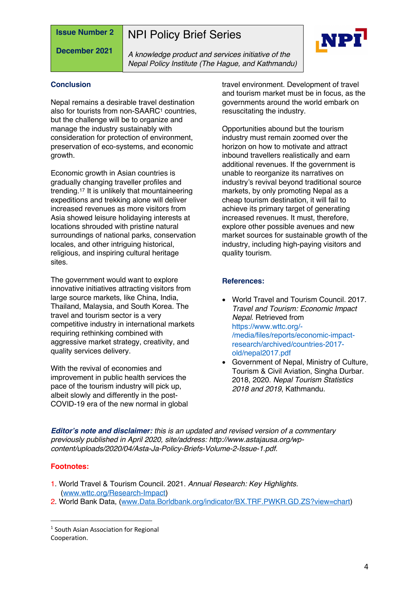**December 2021**

NPI Policy Brief Series

*A knowledge product and services initiative of the Nepal Policy Institute (The Hague, and Kathmandu)*



#### **Conclusion**

Nepal remains a desirable travel destination also for tourists from non-SAARC<sup>1</sup> countries. but the challenge will be to organize and manage the industry sustainably with consideration for protection of environment, preservation of eco-systems, and economic growth.

Economic growth in Asian countries is gradually changing traveller profiles and trending.17 It is unlikely that mountaineering expeditions and trekking alone will deliver increased revenues as more visitors from Asia showed leisure holidaying interests at locations shrouded with pristine natural surroundings of national parks, conservation locales, and other intriguing historical, religious, and inspiring cultural heritage sites.

The government would want to explore innovative initiatives attracting visitors from large source markets, like China, India, Thailand, Malaysia, and South Korea. The travel and tourism sector is a very competitive industry in international markets requiring rethinking combined with aggressive market strategy, creativity, and quality services delivery.

With the revival of economies and improvement in public health services the pace of the tourism industry will pick up, albeit slowly and differently in the post-COVID-19 era of the new normal in global travel environment. Development of travel and tourism market must be in focus, as the governments around the world embark on resuscitating the industry.

Opportunities abound but the tourism industry must remain zoomed over the horizon on how to motivate and attract inbound travellers realistically and earn additional revenues. If the government is unable to reorganize its narratives on industry's revival beyond traditional source markets, by only promoting Nepal as a cheap tourism destination, it will fail to achieve its primary target of generating increased revenues. It must, therefore, explore other possible avenues and new market sources for sustainable growth of the industry, including high-paying visitors and quality tourism.

#### **References:**

- World Travel and Tourism Council. 2017. *Travel and Tourism: Economic Impact Nepal*. Retrieved from https://www.wttc.org/- /media/files/reports/economic-impactresearch/archived/countries-2017 old/nepal2017.pdf
- Government of Nepal, Ministry of Culture, Tourism & Civil Aviation, Singha Durbar. 2018, 2020. *Nepal Tourism Statistics 2018 and 2019*, Kathmandu.

*Editor's note and disclaimer: this is an updated and revised version of a commentary previously published in April 2020, site/address: http://www.astajausa.org/wpcontent/uploads/2020/04/Asta-Ja-Policy-Briefs-Volume-2-Issue-1.pdf.*

#### **Footnotes:**

- 1. World Travel & Tourism Council. 2021. *Annual Research: Key Highlights.* (www.wttc.org/Research-Impact)
- 2. World Bank Data, (www.Data.Borldbank.org/indicator/BX.TRF.PWKR.GD.ZS?view=chart)

<sup>1</sup> South Asian Association for Regional Cooperation.